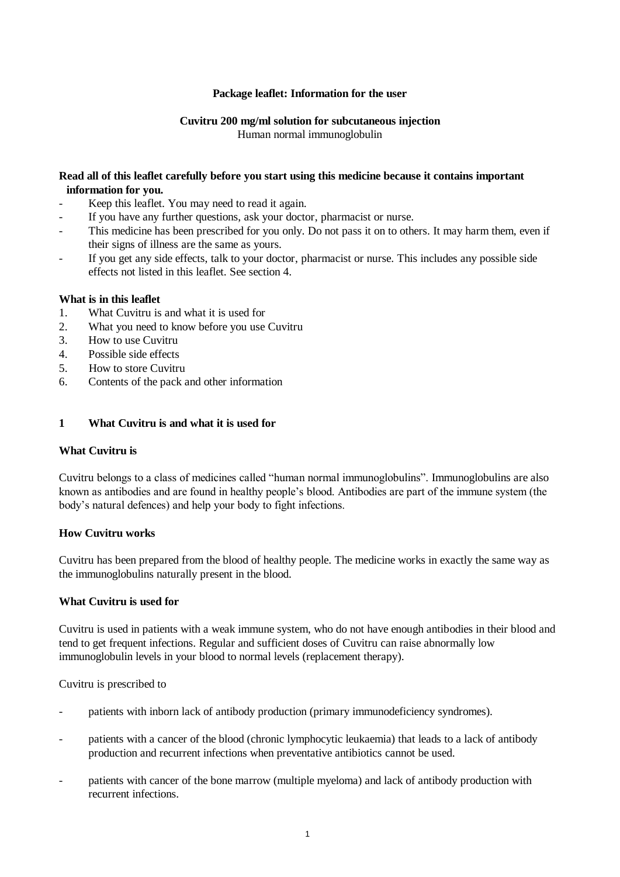### **Package leaflet: Information for the user**

#### **Cuvitru 200 mg/ml solution for subcutaneous injection** Human normal immunoglobulin

#### **Read all of this leaflet carefully before you start using this medicine because it contains important information for you.**

- Keep this leaflet. You may need to read it again.
- If you have any further questions, ask your doctor, pharmacist or nurse.
- This medicine has been prescribed for you only. Do not pass it on to others. It may harm them, even if their signs of illness are the same as yours.
- If you get any side effects, talk to your doctor, pharmacist or nurse. This includes any possible side effects not listed in this leaflet. See section 4.

#### **What is in this leaflet**

- 1. What Cuvitru is and what it is used for
- 2. What you need to know before you use Cuvitru
- 3. How to use Cuvitru
- 4. Possible side effects
- 5. How to store Cuvitru
- 6. Contents of the pack and other information

#### **1 What Cuvitru is and what it is used for**

#### **What Cuvitru is**

Cuvitru belongs to a class of medicines called "human normal immunoglobulins". Immunoglobulins are also known as antibodies and are found in healthy people's blood. Antibodies are part of the immune system (the body's natural defences) and help your body to fight infections.

#### **How Cuvitru works**

Cuvitru has been prepared from the blood of healthy people. The medicine works in exactly the same way as the immunoglobulins naturally present in the blood.

#### **What Cuvitru is used for**

Cuvitru is used in patients with a weak immune system, who do not have enough antibodies in their blood and tend to get frequent infections. Regular and sufficient doses of Cuvitru can raise abnormally low immunoglobulin levels in your blood to normal levels (replacement therapy).

Cuvitru is prescribed to

- patients with inborn lack of antibody production (primary immunodeficiency syndromes).
- patients with a cancer of the blood (chronic lymphocytic leukaemia) that leads to a lack of antibody production and recurrent infections when preventative antibiotics cannot be used.
- patients with cancer of the bone marrow (multiple myeloma) and lack of antibody production with recurrent infections.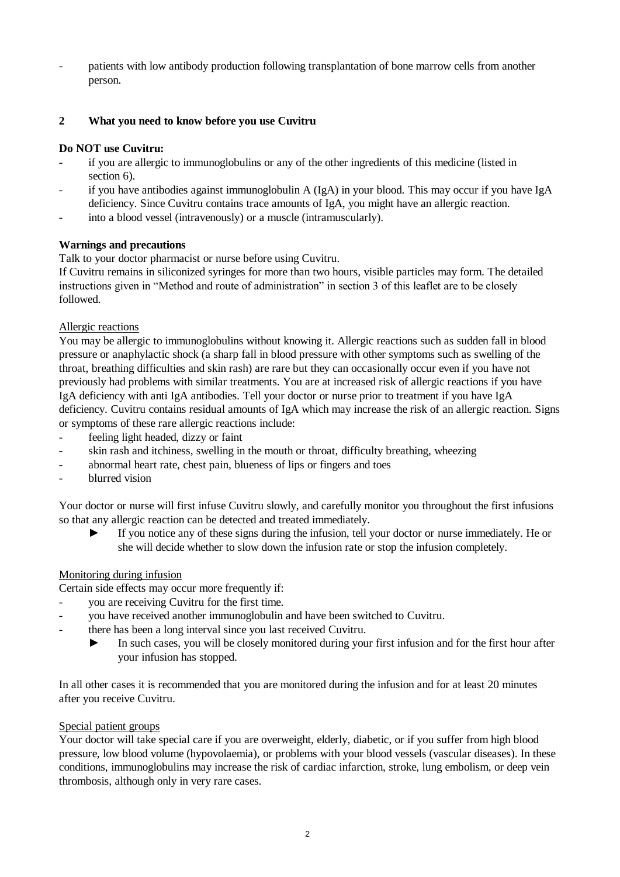patients with low antibody production following transplantation of bone marrow cells from another person.

# **2 What you need to know before you use Cuvitru**

### **Do NOT use Cuvitru:**

- if you are allergic to immunoglobulins or any of the other ingredients of this medicine (listed in section 6).
- if you have antibodies against immunoglobulin A ( $IgA$ ) in your blood. This may occur if you have IgA deficiency. Since Cuvitru contains trace amounts of IgA, you might have an allergic reaction.
- into a blood vessel (intravenously) or a muscle (intramuscularly).

# **Warnings and precautions**

Talk to your doctor pharmacist or nurse before using Cuvitru.

If Cuvitru remains in siliconized syringes for more than two hours, visible particles may form. The detailed instructions given in "Method and route of administration" in section 3 of this leaflet are to be closely followed.

#### Allergic reactions

You may be allergic to immunoglobulins without knowing it. Allergic reactions such as sudden fall in blood pressure or anaphylactic shock (a sharp fall in blood pressure with other symptoms such as swelling of the throat, breathing difficulties and skin rash) are rare but they can occasionally occur even if you have not previously had problems with similar treatments. You are at increased risk of allergic reactions if you have IgA deficiency with anti IgA antibodies. Tell your doctor or nurse prior to treatment if you have IgA deficiency. Cuvitru contains residual amounts of IgA which may increase the risk of an allergic reaction. Signs or symptoms of these rare allergic reactions include:

- feeling light headed, dizzy or faint
- skin rash and itchiness, swelling in the mouth or throat, difficulty breathing, wheezing
- abnormal heart rate, chest pain, blueness of lips or fingers and toes
- blurred vision

Your doctor or nurse will first infuse Cuvitru slowly, and carefully monitor you throughout the first infusions so that any allergic reaction can be detected and treated immediately.

► If you notice any of these signs during the infusion, tell your doctor or nurse immediately. He or she will decide whether to slow down the infusion rate or stop the infusion completely.

#### Monitoring during infusion

Certain side effects may occur more frequently if:

- you are receiving Cuvitru for the first time.
- you have received another immunoglobulin and have been switched to Cuvitru.
- there has been a long interval since you last received Cuvitru.
	- In such cases, you will be closely monitored during your first infusion and for the first hour after your infusion has stopped.

In all other cases it is recommended that you are monitored during the infusion and for at least 20 minutes after you receive Cuvitru.

#### Special patient groups

Your doctor will take special care if you are overweight, elderly, diabetic, or if you suffer from high blood pressure, low blood volume (hypovolaemia), or problems with your blood vessels (vascular diseases). In these conditions, immunoglobulins may increase the risk of cardiac infarction, stroke, lung embolism, or deep vein thrombosis, although only in very rare cases.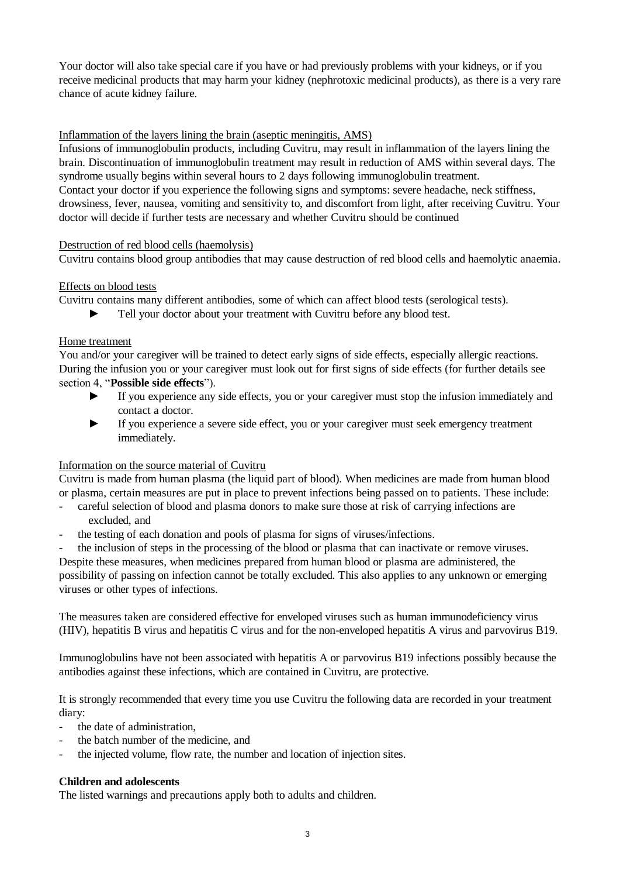Your doctor will also take special care if you have or had previously problems with your kidneys, or if you receive medicinal products that may harm your kidney (nephrotoxic medicinal products), as there is a very rare chance of acute kidney failure.

# Inflammation of the layers lining the brain (aseptic meningitis, AMS)

Infusions of immunoglobulin products, including Cuvitru, may result in inflammation of the layers lining the brain. Discontinuation of immunoglobulin treatment may result in reduction of AMS within several days. The syndrome usually begins within several hours to 2 days following immunoglobulin treatment. Contact your doctor if you experience the following signs and symptoms: severe headache, neck stiffness, drowsiness, fever, nausea, vomiting and sensitivity to, and discomfort from light, after receiving Cuvitru. Your doctor will decide if further tests are necessary and whether Cuvitru should be continued

#### Destruction of red blood cells (haemolysis)

Cuvitru contains blood group antibodies that may cause destruction of red blood cells and haemolytic anaemia.

# Effects on blood tests

Cuvitru contains many different antibodies, some of which can affect blood tests (serological tests).

Tell your doctor about your treatment with Cuvitru before any blood test.

#### Home treatment

You and/or your caregiver will be trained to detect early signs of side effects, especially allergic reactions. During the infusion you or your caregiver must look out for first signs of side effects (for further details see

section 4, "**Possible side effects**").

- ► If you experience any side effects, you or your caregiver must stop the infusion immediately and contact a doctor.
- ► If you experience a severe side effect, you or your caregiver must seek emergency treatment immediately.

#### Information on the source material of Cuvitru

Cuvitru is made from human plasma (the liquid part of blood). When medicines are made from human blood or plasma, certain measures are put in place to prevent infections being passed on to patients. These include:

- careful selection of blood and plasma donors to make sure those at risk of carrying infections are excluded, and
- the testing of each donation and pools of plasma for signs of viruses/infections.

the inclusion of steps in the processing of the blood or plasma that can inactivate or remove viruses. Despite these measures, when medicines prepared from human blood or plasma are administered, the possibility of passing on infection cannot be totally excluded. This also applies to any unknown or emerging viruses or other types of infections.

The measures taken are considered effective for enveloped viruses such as human immunodeficiency virus (HIV), hepatitis B virus and hepatitis C virus and for the non-enveloped hepatitis A virus and parvovirus B19.

Immunoglobulins have not been associated with hepatitis A or parvovirus B19 infections possibly because the antibodies against these infections, which are contained in Cuvitru, are protective.

It is strongly recommended that every time you use Cuvitru the following data are recorded in your treatment diary:

- the date of administration.
- the batch number of the medicine, and
- the injected volume, flow rate, the number and location of injection sites.

# **Children and adolescents**

The listed warnings and precautions apply both to adults and children.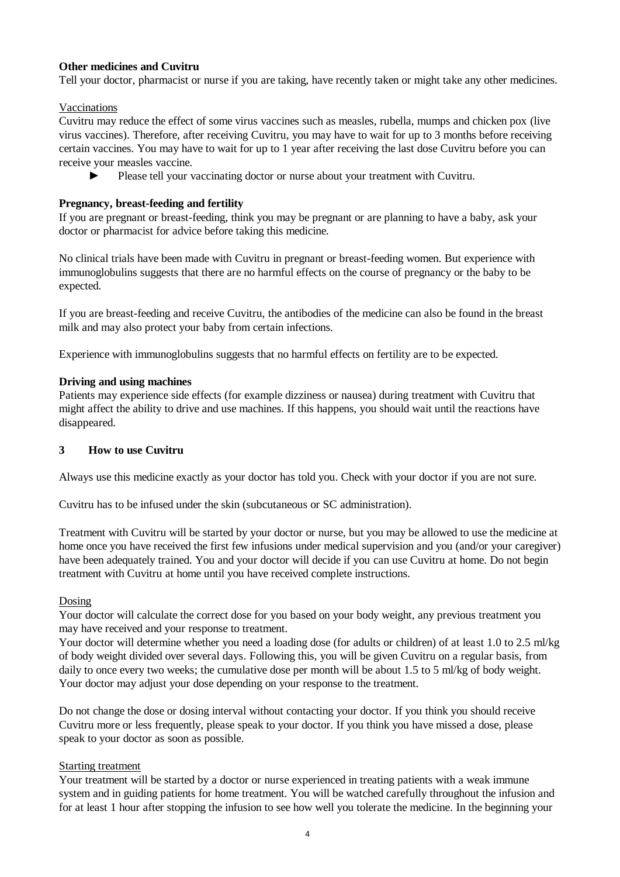# **Other medicines and Cuvitru**

Tell your doctor, pharmacist or nurse if you are taking, have recently taken or might take any other medicines.

Vaccinations

Cuvitru may reduce the effect of some virus vaccines such as measles, rubella, mumps and chicken pox (live virus vaccines). Therefore, after receiving Cuvitru, you may have to wait for up to 3 months before receiving certain vaccines. You may have to wait for up to 1 year after receiving the last dose Cuvitru before you can receive your measles vaccine.

► Please tell your vaccinating doctor or nurse about your treatment with Cuvitru.

# **Pregnancy, breast-feeding and fertility**

If you are pregnant or breast-feeding, think you may be pregnant or are planning to have a baby, ask your doctor or pharmacist for advice before taking this medicine.

No clinical trials have been made with Cuvitru in pregnant or breast-feeding women. But experience with immunoglobulins suggests that there are no harmful effects on the course of pregnancy or the baby to be expected.

If you are breast-feeding and receive Cuvitru, the antibodies of the medicine can also be found in the breast milk and may also protect your baby from certain infections.

Experience with immunoglobulins suggests that no harmful effects on fertility are to be expected.

#### **Driving and using machines**

Patients may experience side effects (for example dizziness or nausea) during treatment with Cuvitru that might affect the ability to drive and use machines. If this happens, you should wait until the reactions have disappeared.

# **3 How to use Cuvitru**

Always use this medicine exactly as your doctor has told you. Check with your doctor if you are not sure.

Cuvitru has to be infused under the skin (subcutaneous or SC administration).

Treatment with Cuvitru will be started by your doctor or nurse, but you may be allowed to use the medicine at home once you have received the first few infusions under medical supervision and you (and/or your caregiver) have been adequately trained. You and your doctor will decide if you can use Cuvitru at home. Do not begin treatment with Cuvitru at home until you have received complete instructions.

#### Dosing

Your doctor will calculate the correct dose for you based on your body weight, any previous treatment you may have received and your response to treatment.

Your doctor will determine whether you need a loading dose (for adults or children) of at least 1.0 to 2.5 ml/kg of body weight divided over several days. Following this, you will be given Cuvitru on a regular basis, from daily to once every two weeks; the cumulative dose per month will be about 1.5 to 5 ml/kg of body weight. Your doctor may adjust your dose depending on your response to the treatment.

Do not change the dose or dosing interval without contacting your doctor. If you think you should receive Cuvitru more or less frequently, please speak to your doctor. If you think you have missed a dose, please speak to your doctor as soon as possible.

#### Starting treatment

Your treatment will be started by a doctor or nurse experienced in treating patients with a weak immune system and in guiding patients for home treatment. You will be watched carefully throughout the infusion and for at least 1 hour after stopping the infusion to see how well you tolerate the medicine. In the beginning your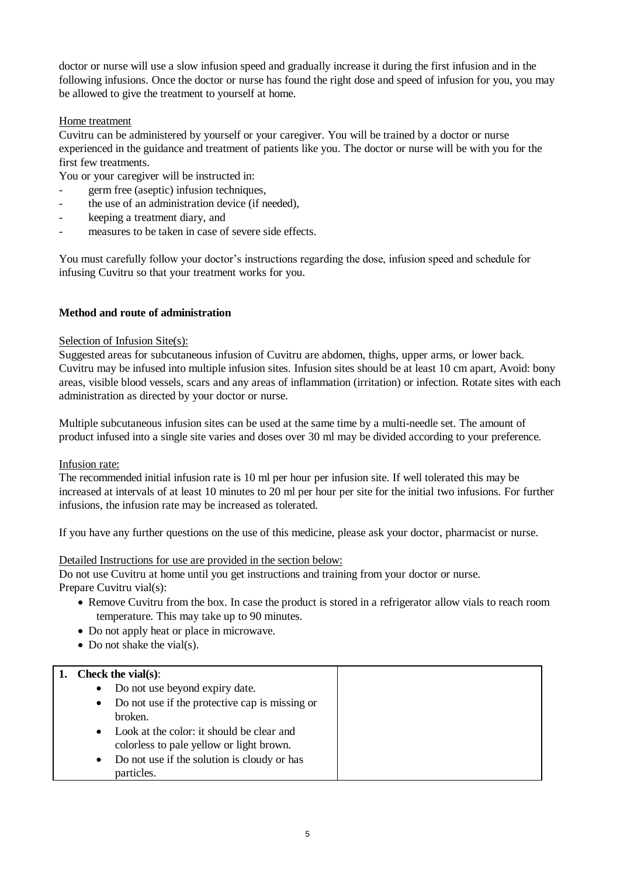doctor or nurse will use a slow infusion speed and gradually increase it during the first infusion and in the following infusions. Once the doctor or nurse has found the right dose and speed of infusion for you, you may be allowed to give the treatment to yourself at home.

# Home treatment

Cuvitru can be administered by yourself or your caregiver. You will be trained by a doctor or nurse experienced in the guidance and treatment of patients like you. The doctor or nurse will be with you for the first few treatments.

You or your caregiver will be instructed in:

- germ free (aseptic) infusion techniques,
- the use of an administration device (if needed),
- keeping a treatment diary, and
- measures to be taken in case of severe side effects.

You must carefully follow your doctor's instructions regarding the dose, infusion speed and schedule for infusing Cuvitru so that your treatment works for you.

# **Method and route of administration**

#### Selection of Infusion Site(s):

Suggested areas for subcutaneous infusion of Cuvitru are abdomen, thighs, upper arms, or lower back. Cuvitru may be infused into multiple infusion sites. Infusion sites should be at least 10 cm apart, Avoid: bony areas, visible blood vessels, scars and any areas of inflammation (irritation) or infection. Rotate sites with each administration as directed by your doctor or nurse.

Multiple subcutaneous infusion sites can be used at the same time by a multi-needle set. The amount of product infused into a single site varies and doses over 30 ml may be divided according to your preference.

#### Infusion rate:

The recommended initial infusion rate is 10 ml per hour per infusion site. If well tolerated this may be increased at intervals of at least 10 minutes to 20 ml per hour per site for the initial two infusions. For further infusions, the infusion rate may be increased as tolerated.

If you have any further questions on the use of this medicine, please ask your doctor, pharmacist or nurse.

#### Detailed Instructions for use are provided in the section below:

Do not use Cuvitru at home until you get instructions and training from your doctor or nurse. Prepare Cuvitru vial(s):

- Remove Cuvitru from the box. In case the product is stored in a refrigerator allow vials to reach room temperature. This may take up to 90 minutes.
- Do not apply heat or place in microwave.
- Do not shake the vial(s).

# **1. Check the vial(s)**:

| Check the vians).                                                                     |  |
|---------------------------------------------------------------------------------------|--|
| Do not use beyond expiry date.                                                        |  |
| Do not use if the protective cap is missing or                                        |  |
| broken.                                                                               |  |
| Look at the color: it should be clear and<br>colorless to pale yellow or light brown. |  |
| Do not use if the solution is cloudy or has<br>particles.                             |  |
|                                                                                       |  |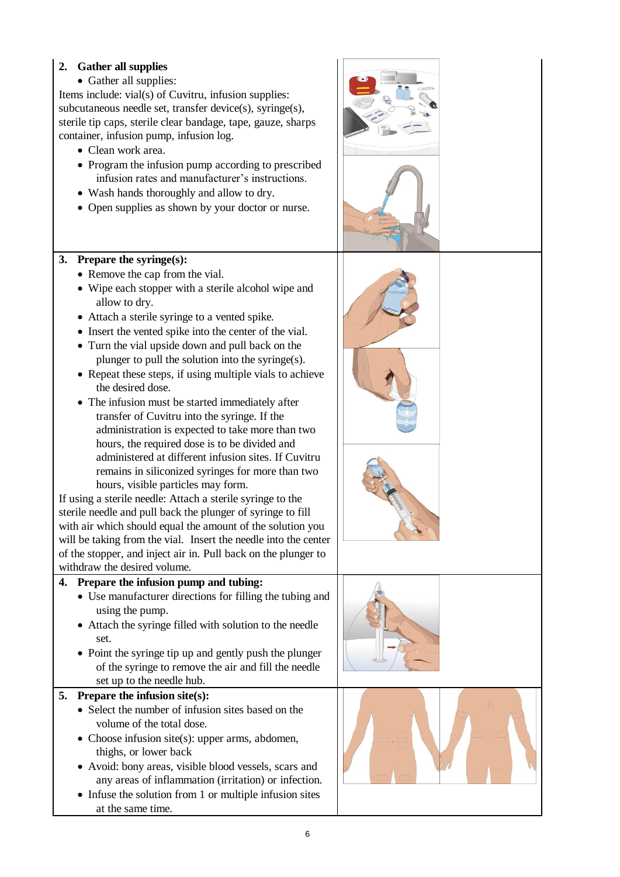# **2. Gather all supplies**

• Gather all supplies:

Items include: vial(s) of Cuvitru, infusion supplies: subcutaneous needle set, transfer device(s), syringe(s), sterile tip caps, sterile clear bandage, tape, gauze, sharps container, infusion pump, infusion log.

- Clean work area.
- Program the infusion pump according to prescribed infusion rates and manufacturer's instructions.
- Wash hands thoroughly and allow to dry.
- Open supplies as shown by your doctor or nurse.

# **3. Prepare the syringe(s):**

- Remove the cap from the vial.
- Wipe each stopper with a sterile alcohol wipe and allow to dry.
- Attach a sterile syringe to a vented spike.
- Insert the vented spike into the center of the vial.
- Turn the vial upside down and pull back on the plunger to pull the solution into the syringe(s).
- Repeat these steps, if using multiple vials to achieve the desired dose.
- The infusion must be started immediately after transfer of Cuvitru into the syringe. If the administration is expected to take more than two hours, the required dose is to be divided and administered at different infusion sites. If Cuvitru remains in siliconized syringes for more than two hours, visible particles may form.

If using a sterile needle: Attach a sterile syringe to the sterile needle and pull back the plunger of syringe to fill with air which should equal the amount of the solution you will be taking from the vial. Insert the needle into the center of the stopper, and inject air in. Pull back on the plunger to withdraw the desired volume.

# **4. Prepare the infusion pump and tubing:**

- Use manufacturer directions for filling the tubing and using the pump.
- Attach the syringe filled with solution to the needle set.
- Point the syringe tip up and gently push the plunger of the syringe to remove the air and fill the needle set up to the needle hub.

# **5. Prepare the infusion site(s):**

- Select the number of infusion sites based on the volume of the total dose.
- Choose infusion site(s): upper arms, abdomen, thighs, or lower back
- Avoid: bony areas, visible blood vessels, scars and any areas of inflammation (irritation) or infection.
- $\bullet$  Infuse the solution from 1 or multiple infusion sites at the same time.

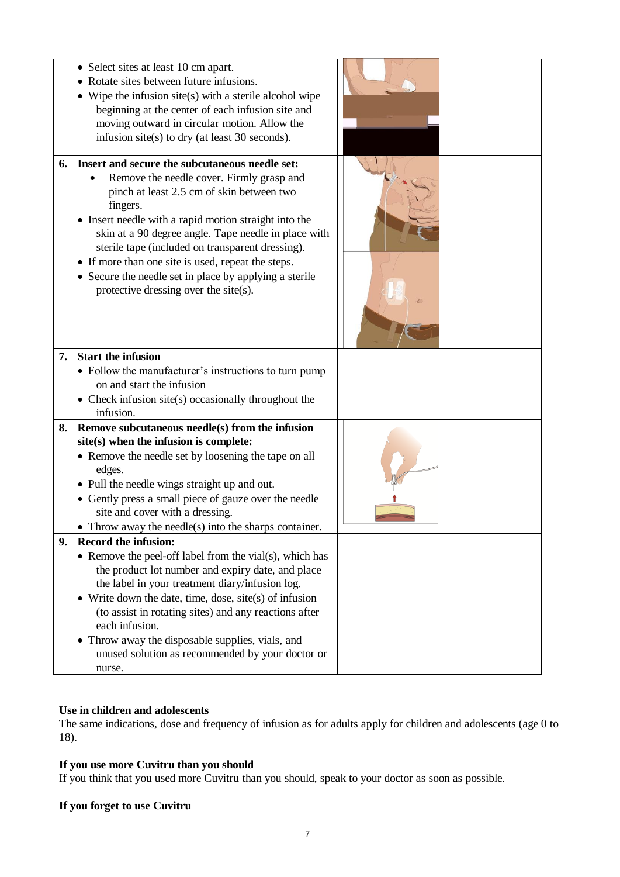|    | • Select sites at least 10 cm apart.<br>Rotate sites between future infusions.<br>$\bullet$ Wipe the infusion site(s) with a sterile alcohol wipe<br>beginning at the center of each infusion site and<br>moving outward in circular motion. Allow the<br>infusion site(s) to dry (at least 30 seconds).                                                                                                                                                                           |  |
|----|------------------------------------------------------------------------------------------------------------------------------------------------------------------------------------------------------------------------------------------------------------------------------------------------------------------------------------------------------------------------------------------------------------------------------------------------------------------------------------|--|
| 6. | Insert and secure the subcutaneous needle set:<br>Remove the needle cover. Firmly grasp and<br>pinch at least 2.5 cm of skin between two<br>fingers.<br>• Insert needle with a rapid motion straight into the<br>skin at a 90 degree angle. Tape needle in place with<br>sterile tape (included on transparent dressing).<br>• If more than one site is used, repeat the steps.<br>• Secure the needle set in place by applying a sterile<br>protective dressing over the site(s). |  |
| 7. | <b>Start the infusion</b><br>• Follow the manufacturer's instructions to turn pump<br>on and start the infusion<br>• Check infusion site(s) occasionally throughout the<br>infusion.                                                                                                                                                                                                                                                                                               |  |
| 8. | Remove subcutaneous needle(s) from the infusion<br>site(s) when the infusion is complete:<br>• Remove the needle set by loosening the tape on all<br>edges.<br>• Pull the needle wings straight up and out.<br>• Gently press a small piece of gauze over the needle<br>site and cover with a dressing.<br>Throw away the needle(s) into the sharps container.                                                                                                                     |  |
| 9. | <b>Record the infusion:</b><br>• Remove the peel-off label from the vial(s), which has<br>the product lot number and expiry date, and place<br>the label in your treatment diary/infusion log.<br>• Write down the date, time, dose, site(s) of infusion<br>(to assist in rotating sites) and any reactions after<br>each infusion.<br>• Throw away the disposable supplies, vials, and<br>unused solution as recommended by your doctor or<br>nurse.                              |  |

## **Use in children and adolescents**

The same indications, dose and frequency of infusion as for adults apply for children and adolescents (age 0 to 18).

# **If you use more Cuvitru than you should**

If you think that you used more Cuvitru than you should, speak to your doctor as soon as possible.

# **If you forget to use Cuvitru**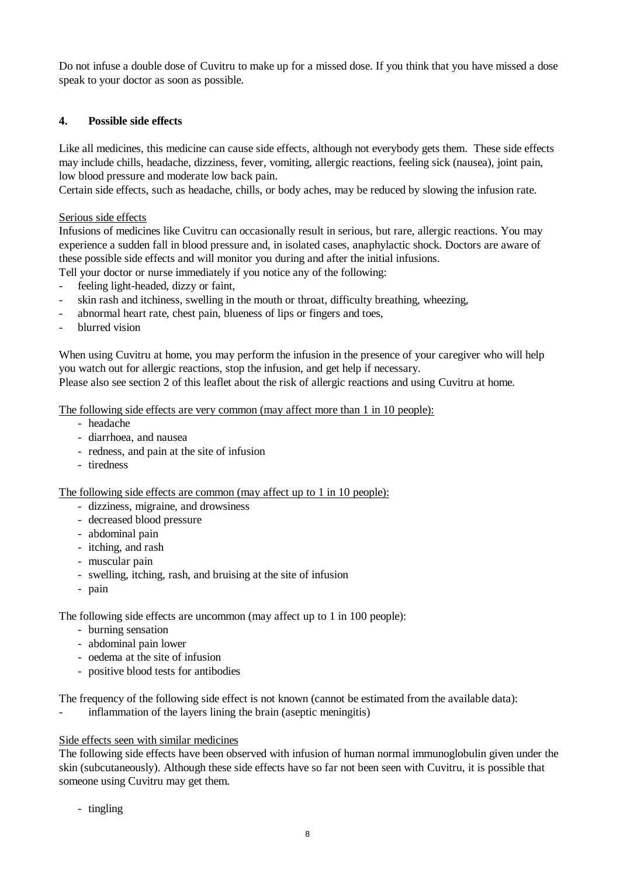Do not infuse a double dose of Cuvitru to make up for a missed dose. If you think that you have missed a dose speak to your doctor as soon as possible.

# **4. Possible side effects**

Like all medicines, this medicine can cause side effects, although not everybody gets them. These side effects may include chills, headache, dizziness, fever, vomiting, allergic reactions, feeling sick (nausea), joint pain, low blood pressure and moderate low back pain.

Certain side effects, such as headache, chills, or body aches, may be reduced by slowing the infusion rate.

Serious side effects

Infusions of medicines like Cuvitru can occasionally result in serious, but rare, allergic reactions. You may experience a sudden fall in blood pressure and, in isolated cases, anaphylactic shock. Doctors are aware of these possible side effects and will monitor you during and after the initial infusions.

Tell your doctor or nurse immediately if you notice any of the following:

- feeling light-headed, dizzy or faint,
- skin rash and itchiness, swelling in the mouth or throat, difficulty breathing, wheezing,
- abnormal heart rate, chest pain, blueness of lips or fingers and toes,
- blurred vision

When using Cuvitru at home, you may perform the infusion in the presence of your caregiver who will help you watch out for allergic reactions, stop the infusion, and get help if necessary.

Please also see section 2 of this leaflet about the risk of allergic reactions and using Cuvitru at home.

The following side effects are very common (may affect more than 1 in 10 people):

- headache
- diarrhoea, and nausea
- redness, and pain at the site of infusion
- tiredness

The following side effects are common (may affect up to 1 in 10 people):

- dizziness, migraine, and drowsiness
- decreased blood pressure
- abdominal pain
- itching, and rash
- muscular pain
- swelling, itching, rash, and bruising at the site of infusion
- pain

The following side effects are uncommon (may affect up to 1 in 100 people):

- burning sensation
- abdominal pain lower
- oedema at the site of infusion
- positive blood tests for antibodies

The frequency of the following side effect is not known (cannot be estimated from the available data):

inflammation of the layers lining the brain (aseptic meningitis)

#### Side effects seen with similar medicines

The following side effects have been observed with infusion of human normal immunoglobulin given under the skin (subcutaneously). Although these side effects have so far not been seen with Cuvitru, it is possible that someone using Cuvitru may get them.

- tingling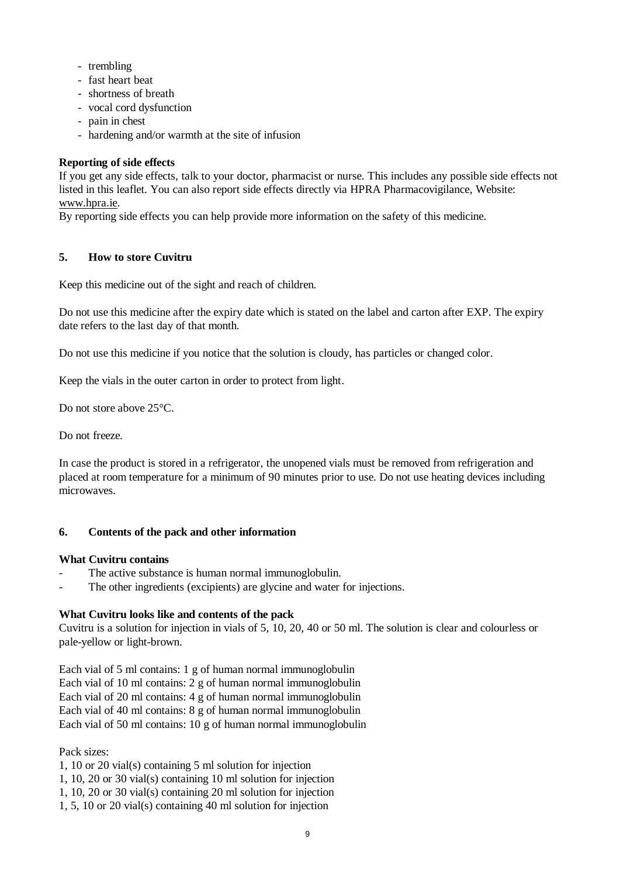- trembling
- fast heart beat
- shortness of breath
- vocal cord dysfunction
- pain in chest
- hardening and/or warmth at the site of infusion

# **Reporting of side effects**

If you get any side effects, talk to your doctor, pharmacist or nurse. This includes any possible side effects not listed in this leaflet. You can also report side effects directly via HPRA Pharmacovigilance, Website: www.hpra.ie.

By reporting side effects you can help provide more information on the safety of this medicine.

# **5. How to store Cuvitru**

Keep this medicine out of the sight and reach of children.

Do not use this medicine after the expiry date which is stated on the label and carton after EXP. The expiry date refers to the last day of that month.

Do not use this medicine if you notice that the solution is cloudy, has particles or changed color.

Keep the vials in the outer carton in order to protect from light.

Do not store above 25°C.

Do not freeze.

In case the product is stored in a refrigerator, the unopened vials must be removed from refrigeration and placed at room temperature for a minimum of 90 minutes prior to use. Do not use heating devices including microwaves.

#### **6. Contents of the pack and other information**

#### **What Cuvitru contains**

- The active substance is human normal immunoglobulin.
- The other ingredients (excipients) are glycine and water for injections.

#### **What Cuvitru looks like and contents of the pack**

Cuvitru is a solution for injection in vials of 5, 10, 20, 40 or 50 ml. The solution is clear and colourless or pale-yellow or light-brown.

Each vial of 5 ml contains: 1 g of human normal immunoglobulin Each vial of 10 ml contains: 2 g of human normal immunoglobulin Each vial of 20 ml contains: 4 g of human normal immunoglobulin Each vial of 40 ml contains: 8 g of human normal immunoglobulin Each vial of 50 ml contains: 10 g of human normal immunoglobulin

Pack sizes:

- 1, 10 or 20 vial(s) containing 5 ml solution for injection
- 1, 10, 20 or 30 vial(s) containing 10 ml solution for injection
- 1, 10, 20 or 30 vial(s) containing 20 ml solution for injection
- 1, 5, 10 or 20 vial(s) containing 40 ml solution for injection